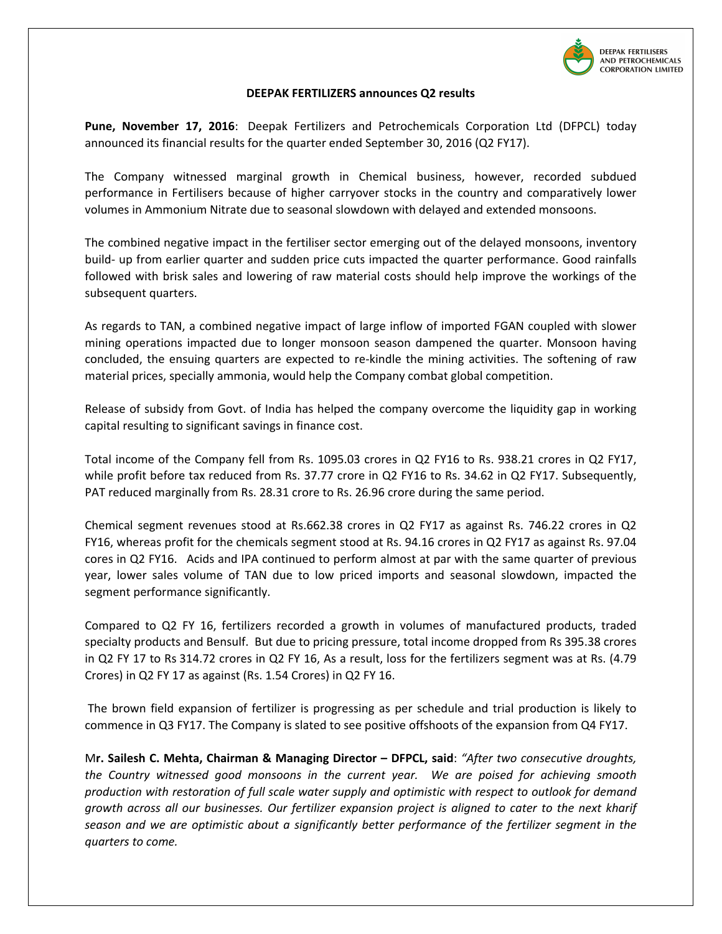

## **DEEPAK FERTILIZERS announces Q2 results**

**Pune, November 17, 2016**: Deepak Fertilizers and Petrochemicals Corporation Ltd (DFPCL) today announced its financial results for the quarter ended September 30, 2016 (Q2 FY17).

The Company witnessed marginal growth in Chemical business, however, recorded subdued performance in Fertilisers because of higher carryover stocks in the country and comparatively lower volumes in Ammonium Nitrate due to seasonal slowdown with delayed and extended monsoons.

The combined negative impact in the fertiliser sector emerging out of the delayed monsoons, inventory build- up from earlier quarter and sudden price cuts impacted the quarter performance. Good rainfalls followed with brisk sales and lowering of raw material costs should help improve the workings of the subsequent quarters.

As regards to TAN, a combined negative impact of large inflow of imported FGAN coupled with slower mining operations impacted due to longer monsoon season dampened the quarter. Monsoon having concluded, the ensuing quarters are expected to re-kindle the mining activities. The softening of raw material prices, specially ammonia, would help the Company combat global competition.

Release of subsidy from Govt. of India has helped the company overcome the liquidity gap in working capital resulting to significant savings in finance cost.

Total income of the Company fell from Rs. 1095.03 crores in Q2 FY16 to Rs. 938.21 crores in Q2 FY17, while profit before tax reduced from Rs. 37.77 crore in Q2 FY16 to Rs. 34.62 in Q2 FY17. Subsequently, PAT reduced marginally from Rs. 28.31 crore to Rs. 26.96 crore during the same period.

Chemical segment revenues stood at Rs.662.38 crores in Q2 FY17 as against Rs. 746.22 crores in Q2 FY16, whereas profit for the chemicals segment stood at Rs. 94.16 crores in Q2 FY17 as against Rs. 97.04 cores in Q2 FY16. Acids and IPA continued to perform almost at par with the same quarter of previous year, lower sales volume of TAN due to low priced imports and seasonal slowdown, impacted the segment performance significantly.

Compared to Q2 FY 16, fertilizers recorded a growth in volumes of manufactured products, traded specialty products and Bensulf. But due to pricing pressure, total income dropped from Rs 395.38 crores in Q2 FY 17 to Rs 314.72 crores in Q2 FY 16, As a result, loss for the fertilizers segment was at Rs. (4.79 Crores) in Q2 FY 17 as against (Rs. 1.54 Crores) in Q2 FY 16.

 The brown field expansion of fertilizer is progressing as per schedule and trial production is likely to commence in Q3 FY17. The Company is slated to see positive offshoots of the expansion from Q4 FY17.

M**r. Sailesh C. Mehta, Chairman & Managing Director – DFPCL, said**: *"After two consecutive droughts, the Country witnessed good monsoons in the current year. We are poised for achieving smooth production with restoration of full scale water supply and optimistic with respect to outlook for demand growth across all our businesses. Our fertilizer expansion project is aligned to cater to the next kharif season and we are optimistic about a significantly better performance of the fertilizer segment in the quarters to come.*